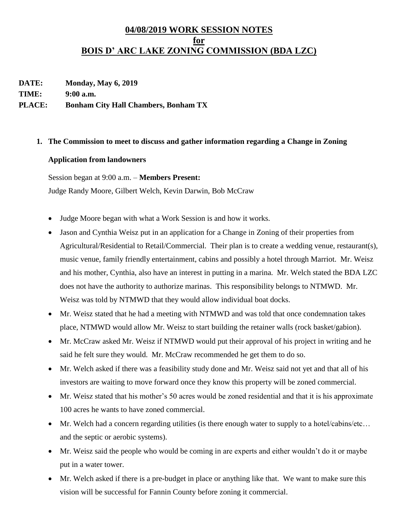## **04/08/2019 WORK SESSION NOTES for BOIS D' ARC LAKE ZONING COMMISSION (BDA LZC)**

**DATE: Monday, May 6, 2019**

**TIME: 9:00 a.m.**

## **PLACE: Bonham City Hall Chambers, Bonham TX**

## **1. The Commission to meet to discuss and gather information regarding a Change in Zoning**

## **Application from landowners**

Session began at 9:00 a.m. – **Members Present:**

Judge Randy Moore, Gilbert Welch, Kevin Darwin, Bob McCraw

- Judge Moore began with what a Work Session is and how it works.
- Jason and Cynthia Weisz put in an application for a Change in Zoning of their properties from Agricultural/Residential to Retail/Commercial. Their plan is to create a wedding venue, restaurant(s), music venue, family friendly entertainment, cabins and possibly a hotel through Marriot. Mr. Weisz and his mother, Cynthia, also have an interest in putting in a marina. Mr. Welch stated the BDA LZC does not have the authority to authorize marinas. This responsibility belongs to NTMWD. Mr. Weisz was told by NTMWD that they would allow individual boat docks.
- Mr. Weisz stated that he had a meeting with NTMWD and was told that once condemnation takes place, NTMWD would allow Mr. Weisz to start building the retainer walls (rock basket/gabion).
- Mr. McCraw asked Mr. Weisz if NTMWD would put their approval of his project in writing and he said he felt sure they would. Mr. McCraw recommended he get them to do so.
- Mr. Welch asked if there was a feasibility study done and Mr. Weisz said not yet and that all of his investors are waiting to move forward once they know this property will be zoned commercial.
- Mr. Weisz stated that his mother's 50 acres would be zoned residential and that it is his approximate 100 acres he wants to have zoned commercial.
- Mr. Welch had a concern regarding utilities (is there enough water to supply to a hotel/cabins/etc... and the septic or aerobic systems).
- Mr. Weisz said the people who would be coming in are experts and either wouldn't do it or maybe put in a water tower.
- Mr. Welch asked if there is a pre-budget in place or anything like that. We want to make sure this vision will be successful for Fannin County before zoning it commercial.